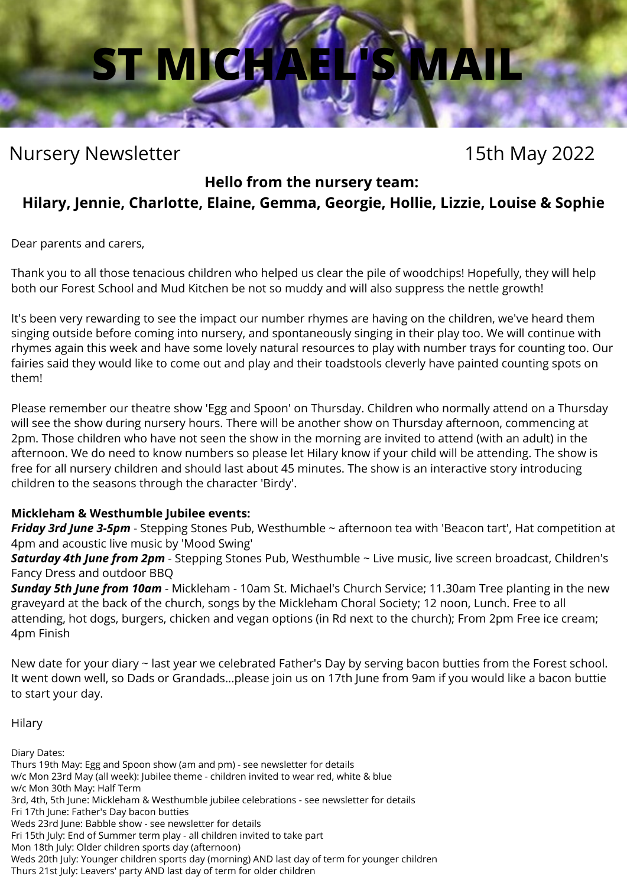## **ST MICH**

#### Nursery Newsletter 15th May 2022

#### **Hello from the nursery team:**

#### **Hilary, Jennie, Charlotte, Elaine, Gemma, Georgie, Hollie, Lizzie, Louise & Sophie**

Dear parents and carers,

Thank you to all those tenacious children who helped us clear the pile of woodchips! Hopefully, they will help both our Forest School and Mud Kitchen be not so muddy and will also suppress the nettle growth!

It's been very rewarding to see the impact our number rhymes are having on the children, we've heard them singing outside before coming into nursery, and spontaneously singing in their play too. We will continue with rhymes again this week and have some lovely natural resources to play with number trays for counting too. Our fairies said they would like to come out and play and their toadstools cleverly have painted counting spots on them!

Please remember our theatre show 'Egg and Spoon' on Thursday. Children who normally attend on a Thursday will see the show during nursery hours. There will be another show on Thursday afternoon, commencing at 2pm. Those children who have not seen the show in the morning are invited to attend (with an adult) in the afternoon. We do need to know numbers so please let Hilary know if your child will be attending. The show is free for all nursery children and should last about 45 minutes. The show is an interactive story introducing children to the seasons through the character 'Birdy'.

#### **Mickleham & Westhumble Jubilee events:**

*Friday 3rd June 3-5pm* - Stepping Stones Pub, Westhumble ~ afternoon tea with 'Beacon tart', Hat competition at 4pm and acoustic live music by 'Mood Swing'

*Saturday 4th June from 2pm* - Stepping Stones Pub, Westhumble ~ Live music, live screen broadcast, Children's Fancy Dress and outdoor BBQ

*Sunday 5th June from 10am* - Mickleham - 10am St. Michael's Church Service; 11.30am Tree planting in the new graveyard at the back of the church, songs by the Mickleham Choral Society; 12 noon, Lunch. Free to all attending, hot dogs, burgers, chicken and vegan options (in Rd next to the church); From 2pm Free ice cream; 4pm Finish

New date for your diary ~ last year we celebrated Father's Day by serving bacon butties from the Forest school. It went down well, so Dads or Grandads...please join us on 17th June from 9am if you would like a bacon buttie to start your day.

Hilary

Diary Dates: Thurs 19th May: Egg and Spoon show (am and pm) - see newsletter for details w/c Mon 23rd May (all week): Jubilee theme - children invited to wear red, white & blue w/c Mon 30th May: Half Term 3rd, 4th, 5th June: Mickleham & Westhumble jubilee celebrations - see newsletter for details Fri 17th June: Father's Day bacon butties Weds 23rd June: Babble show - see newsletter for details Fri 15th July: End of Summer term play - all children invited to take part Mon 18th July: Older children sports day (afternoon) Weds 20th July: Younger children sports day (morning) AND last day of term for younger children Thurs 21st July: Leavers' party AND last day of term for older children